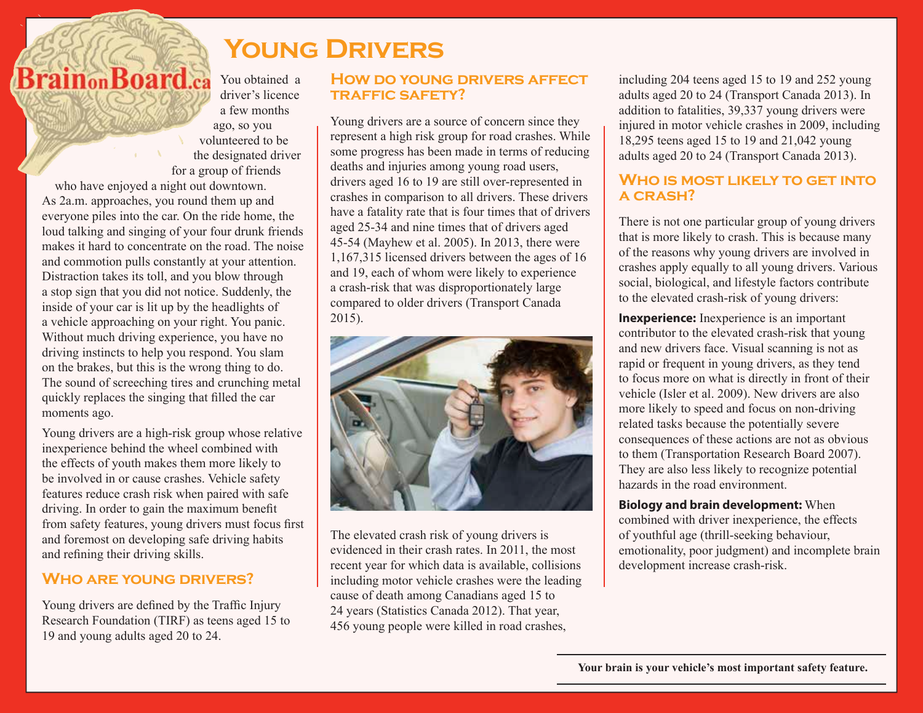# **Young Drivers**

**BrainonBoard.ca** You obtained a driver's licence a few months ago, so you volunteered to be the designated driver for a group of friends who have enjoyed a night out downtown. As 2a.m. approaches, you round them up and everyone piles into the car. On the ride home, the loud talking and singing of your four drunk friends makes it hard to concentrate on the road. The noise and commotion pulls constantly at your attention. Distraction takes its toll, and you blow through a stop sign that you did not notice. Suddenly, the inside of your car is lit up by the headlights of a vehicle approaching on your right. You panic. Without much driving experience, you have no driving instincts to help you respond. You slam on the brakes, but this is the wrong thing to do. The sound of screeching tires and crunching metal quickly replaces the singing that filled the car moments ago.

Young drivers are a high-risk group whose relative inexperience behind the wheel combined with the effects of youth makes them more likely to be involved in or cause crashes. Vehicle safety features reduce crash risk when paired with safe driving. In order to gain the maximum benefit from safety features, young drivers must focus first and foremost on developing safe driving habits and refining their driving skills.

## **Who are young drivers?**

Young drivers are defined by the Traffic Injury Research Foundation (TIRF) as teens aged 15 to 19 and young adults aged 20 to 24.

## **How do young drivers affect traffic safety?**

Young drivers are a source of concern since they represent a high risk group for road crashes. While some progress has been made in terms of reducing deaths and injuries among young road users, drivers aged 16 to 19 are still over-represented in crashes in comparison to all drivers. These drivers have a fatality rate that is four times that of drivers aged 25-34 and nine times that of drivers aged 45-54 (Mayhew et al. 2005). In 2013, there were 1,167,315 licensed drivers between the ages of 16 and 19, each of whom were likely to experience a crash-risk that was disproportionately large compared to older drivers (Transport Canada 2015).



The elevated crash risk of young drivers is evidenced in their crash rates. In 2011, the most recent year for which data is available, collisions including motor vehicle crashes were the leading cause of death among Canadians aged 15 to 24 years (Statistics Canada 2012). That year, 456 young people were killed in road crashes,

including 204 teens aged 15 to 19 and 252 young adults aged 20 to 24 (Transport Canada 2013). In addition to fatalities, 39,337 young drivers were injured in motor vehicle crashes in 2009, including 18,295 teens aged 15 to 19 and 21,042 young adults aged 20 to 24 (Transport Canada 2013).

## **Who is most likely to get into a crash?**

There is not one particular group of young drivers that is more likely to crash. This is because many of the reasons why young drivers are involved in crashes apply equally to all young drivers. Various social, biological, and lifestyle factors contribute to the elevated crash-risk of young drivers:

**Inexperience:** Inexperience is an important contributor to the elevated crash-risk that young and new drivers face. Visual scanning is not as rapid or frequent in young drivers, as they tend to focus more on what is directly in front of their vehicle (Isler et al. 2009). New drivers are also more likely to speed and focus on non-driving related tasks because the potentially severe consequences of these actions are not as obvious to them (Transportation Research Board 2007). They are also less likely to recognize potential hazards in the road environment.

**Biology and brain development:** When combined with driver inexperience, the effects of youthful age (thrill-seeking behaviour, emotionality, poor judgment) and incomplete brain development increase crash-risk.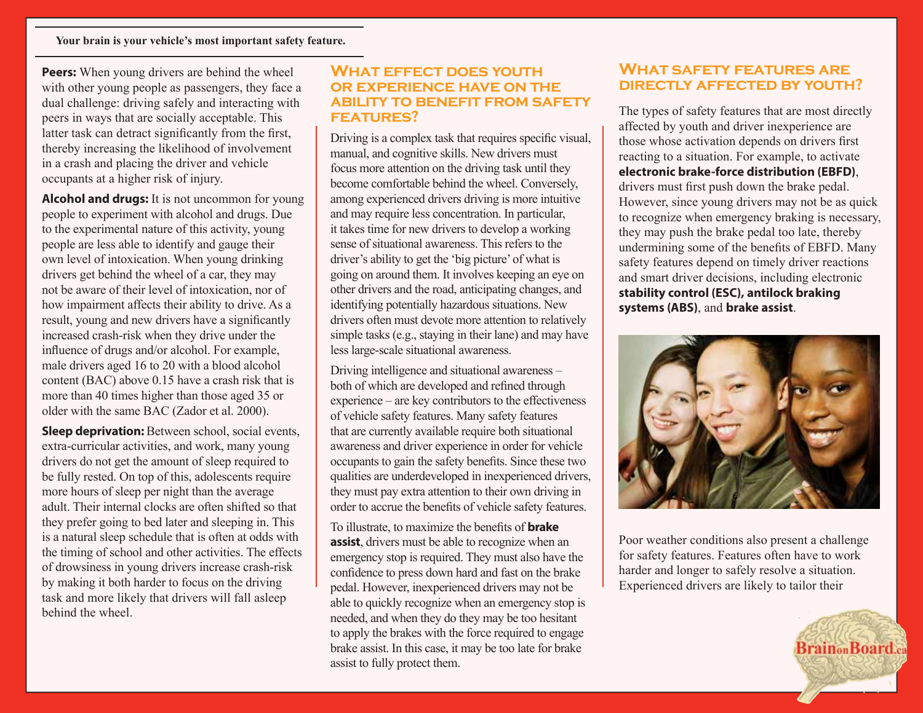**Peers:** When young drivers are behind the wheel with other young people as passengers, they face a dual challenge: driving safely and interacting with peers in ways that are socially acceptable. This latter task can detract significantly from the first, thereby increasing the likelihood of involvement in a crash and placing the driver and vehicle occupants at a higher risk of injury.

**Alcohol and drugs:** It is not uncommon for young people to experiment with alcohol and drugs. Due to the experimental nature of this activity, young people are less able to identify and gauge their own level of intoxication. When young drinking drivers get behind the wheel of a car, they may not be aware of their level of intoxication, nor of how impairment affects their ability to drive. As a result, young and new drivers have a significantly increased crash-risk when they drive under the influence of drugs and/or alcohol. For example, male drivers aged 16 to 20 with a blood alcohol content (BAC) above 0.15 have a crash risk that is more than 40 times higher than those aged 35 or older with the same BAC (Zador et al. 2000).

**Sleep deprivation:** Between school, social events, extra-curricular activities, and work, many young drivers do not get the amount of sleep required to be fully rested. On top of this, adolescents require more hours of sleep per night than the average adult. Their internal clocks are often shifted so that they prefer going to bed later and sleeping in. This is a natural sleep schedule that is often at odds with the timing of school and other activities. The effects of drowsiness in young drivers increase crash-risk by making it both harder to focus on the driving task and more likely that drivers will fall asleep behind the wheel.

#### **What effect does youth OR EXPERIENCE HAVE ON THE ability to benefit from safety features?**

Driving is a complex task that requires specific visual, manual, and cognitive skills. New drivers must focus more attention on the driving task until they become comfortable behind the wheel. Conversely, among experienced drivers driving is more intuitive and may require less concentration. In particular, it takes time for new drivers to develop a working sense of situational awareness. This refers to the driver's ability to get the 'big picture' of what is going on around them. It involves keeping an eye on other drivers and the road, anticipating changes, and identifying potentially hazardous situations. New drivers often must devote more attention to relatively simple tasks (e.g., staying in their lane) and may have less large-scale situational awareness.

Driving intelligence and situational awareness – both of which are developed and refined through experience – are key contributors to the effectiveness of vehicle safety features. Many safety features that are currently available require both situational awareness and driver experience in order for vehicle occupants to gain the safety benefits. Since these two qualities are underdeveloped in inexperienced drivers, they must pay extra attention to their own driving in order to accrue the benefits of vehicle safety features.

To illustrate, to maximize the benefits of **brake assist**, drivers must be able to recognize when an emergency stop is required. They must also have the confidence to press down hard and fast on the brake pedal. However, inexperienced drivers may not be able to quickly recognize when an emergency stop is needed, and when they do they may be too hesitant to apply the brakes with the force required to engage brake assist. In this case, it may be too late for brake assist to fully protect them.

## **What safety features are directly affected by youth?**

The types of safety features that are most directly affected by youth and driver inexperience are those whose activation depends on drivers first reacting to a situation. For example, to activate **electronic brake-force distribution (EBFD)**, drivers must first push down the brake pedal. However, since young drivers may not be as quick to recognize when emergency braking is necessary, they may push the brake pedal too late, thereby undermining some of the benefits of EBFD. Many safety features depend on timely driver reactions and smart driver decisions, including electronic **stability control (ESC), antilock braking systems (ABS)**, and **brake assist**.



Poor weather conditions also present a challenge for safety features. Features often have to work harder and longer to safely resolve a situation. Experienced drivers are likely to tailor their

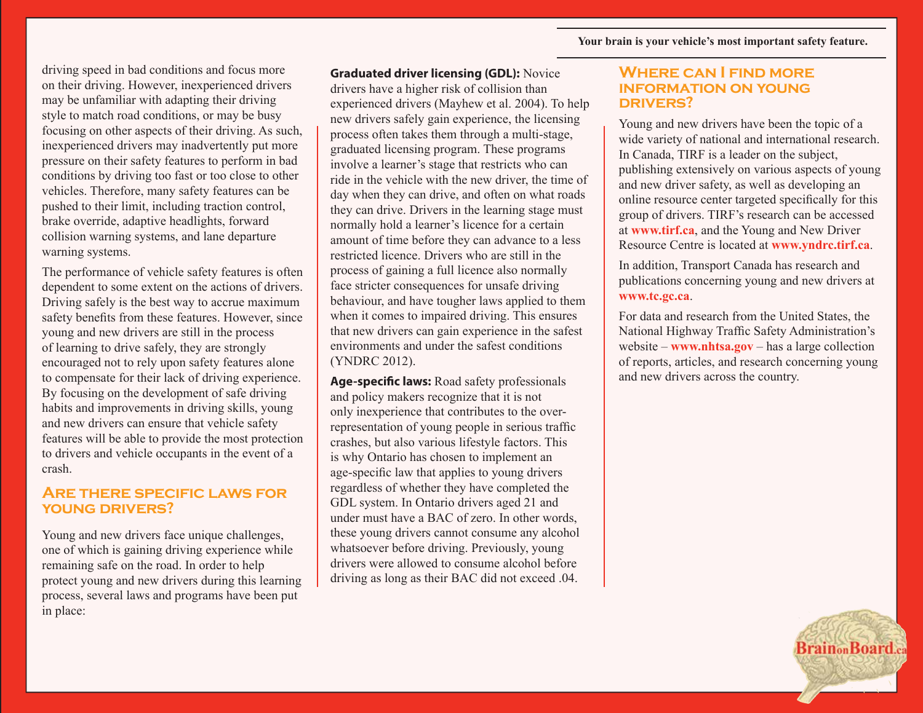driving speed in bad conditions and focus more on their driving. However, inexperienced drivers may be unfamiliar with adapting their driving style to match road conditions, or may be busy focusing on other aspects of their driving. As such, inexperienced drivers may inadvertently put more pressure on their safety features to perform in bad conditions by driving too fast or too close to other vehicles. Therefore, many safety features can be pushed to their limit, including traction control, brake override, adaptive headlights, forward collision warning systems, and lane departure warning systems.

The performance of vehicle safety features is often dependent to some extent on the actions of drivers. Driving safely is the best way to accrue maximum safety benefits from these features. However, since young and new drivers are still in the process of learning to drive safely, they are strongly encouraged not to rely upon safety features alone to compensate for their lack of driving experience. By focusing on the development of safe driving habits and improvements in driving skills, young and new drivers can ensure that vehicle safety features will be able to provide the most protection to drivers and vehicle occupants in the event of a crash.

#### **Are there specific laws for young drivers?**

Young and new drivers face unique challenges, one of which is gaining driving experience while remaining safe on the road. In order to help protect young and new drivers during this learning process, several laws and programs have been put in place:

**Graduated driver licensing (GDL):** Novice drivers have a higher risk of collision than experienced drivers (Mayhew et al. 2004). To help new drivers safely gain experience, the licensing process often takes them through a multi-stage, graduated licensing program. These programs involve a learner's stage that restricts who can ride in the vehicle with the new driver, the time of day when they can drive, and often on what roads they can drive. Drivers in the learning stage must normally hold a learner's licence for a certain amount of time before they can advance to a less restricted licence. Drivers who are still in the process of gaining a full licence also normally face stricter consequences for unsafe driving behaviour, and have tougher laws applied to them when it comes to impaired driving. This ensures that new drivers can gain experience in the safest environments and under the safest conditions (YNDRC 2012).

**Age-specific laws:** Road safety professionals and policy makers recognize that it is not only inexperience that contributes to the overrepresentation of young people in serious traffic crashes, but also various lifestyle factors. This is why Ontario has chosen to implement an age-specific law that applies to young drivers regardless of whether they have completed the GDL system. In Ontario drivers aged 21 and under must have a BAC of zero. In other words, these young drivers cannot consume any alcohol whatsoever before driving. Previously, young drivers were allowed to consume alcohol before driving as long as their BAC did not exceed .04.

#### **Where can I find more information on young drivers?**

Young and new drivers have been the topic of a wide variety of national and international research. In Canada, TIRF is a leader on the subject, publishing extensively on various aspects of young and new driver safety, as well as developing an online resource center targeted specifically for this group of drivers. TIRF's research can be accessed at **www.tirf.ca**, and the Young and New Driver Resource Centre is located at **www.yndrc.tirf.ca**.

In addition, Transport Canada has research and publications concerning young and new drivers at **www.tc.gc.ca**.

For data and research from the United States, the National Highway Traffic Safety Administration's website – **www.nhtsa.gov** – has a large collection of reports, articles, and research concerning young and new drivers across the country.